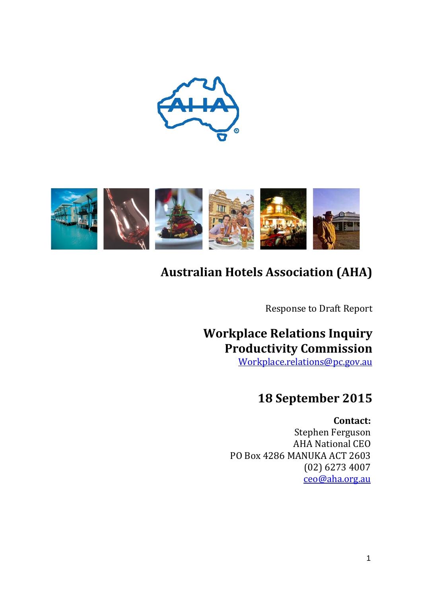



# **Australian Hotels Association (AHA)**

Response to Draft Report

## **Workplace Relations Inquiry Productivity Commission**

[Workplace.relations@pc.gov.au](mailto:Workplace.relations@pc.gov.au)

## **18 September 2015**

**Contact:**

Stephen Ferguson AHA National CEO PO Box 4286 MANUKA ACT 2603 (02) 6273 4007 [ceo@aha.org.au](mailto:ceo@aha.org.au)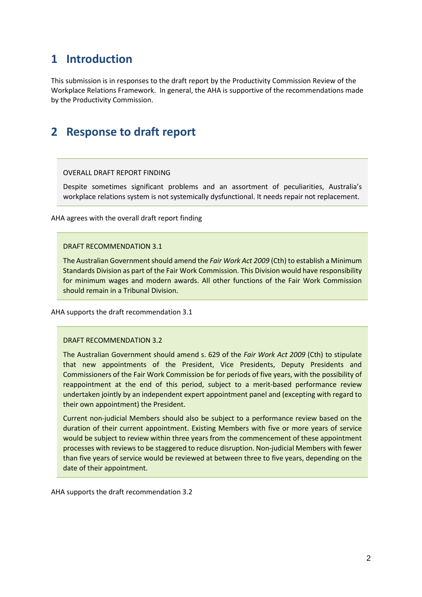## **1 Introduction**

This submission is in responses to the draft report by the Productivity Commission Review of the Workplace Relations Framework. In general, the AHA is supportive of the recommendations made by the Productivity Commission.

## **2 Response to draft report**

## OVERALL DRAFT REPORT FINDING

Despite sometimes significant problems and an assortment of peculiarities, Australia's workplace relations system is not systemically dysfunctional. It needs repair not replacement.

AHA agrees with the overall draft report finding

### DRAFT RECOMMENDATION 3.1

The Australian Government should amend the *Fair Work Act 2009* (Cth) to establish a Minimum Standards Division as part of the Fair Work Commission. This Division would have responsibility for minimum wages and modern awards. All other functions of the Fair Work Commission should remain in a Tribunal Division.

AHA supports the draft recommendation 3.1

#### DRAFT RECOMMENDATION 3.2

The Australian Government should amend s. 629 of the *Fair Work Act 2009* (Cth) to stipulate that new appointments of the President, Vice Presidents, Deputy Presidents and Commissioners of the Fair Work Commission be for periods of five years, with the possibility of reappointment at the end of this period, subject to a merit-based performance review undertaken jointly by an independent expert appointment panel and (excepting with regard to their own appointment) the President.

Current non-judicial Members should also be subject to a performance review based on the duration of their current appointment. Existing Members with five or more years of service would be subject to review within three years from the commencement of these appointment processes with reviews to be staggered to reduce disruption. Non-judicial Members with fewer than five years of service would be reviewed at between three to five years, depending on the date of their appointment.

AHA supports the draft recommendation 3.2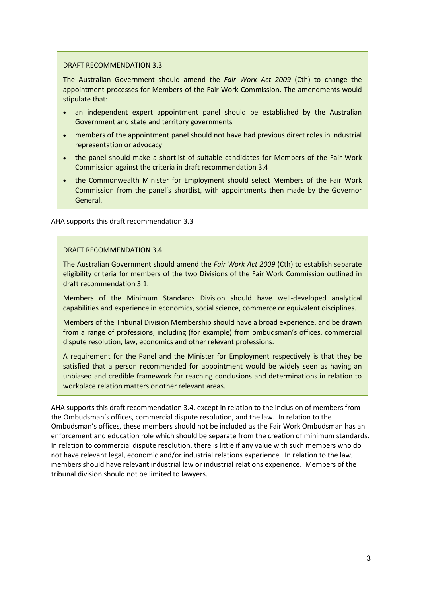### DRAFT RECOMMENDATION 3.3

The Australian Government should amend the *Fair Work Act 2009* (Cth) to change the appointment processes for Members of the Fair Work Commission. The amendments would stipulate that:

- an independent expert appointment panel should be established by the Australian Government and state and territory governments
- members of the appointment panel should not have had previous direct roles in industrial representation or advocacy
- the panel should make a shortlist of suitable candidates for Members of the Fair Work Commission against the criteria in draft recommendation 3.4
- the Commonwealth Minister for Employment should select Members of the Fair Work Commission from the panel's shortlist, with appointments then made by the Governor General.

AHA supports this draft recommendation 3.3

#### DRAFT RECOMMENDATION 3.4

The Australian Government should amend the *Fair Work Act 2009* (Cth) to establish separate eligibility criteria for members of the two Divisions of the Fair Work Commission outlined in draft recommendation 3.1.

Members of the Minimum Standards Division should have well-developed analytical capabilities and experience in economics, social science, commerce or equivalent disciplines.

Members of the Tribunal Division Membership should have a broad experience, and be drawn from a range of professions, including (for example) from ombudsman's offices, commercial dispute resolution, law, economics and other relevant professions.

A requirement for the Panel and the Minister for Employment respectively is that they be satisfied that a person recommended for appointment would be widely seen as having an unbiased and credible framework for reaching conclusions and determinations in relation to workplace relation matters or other relevant areas.

AHA supports this draft recommendation 3.4, except in relation to the inclusion of members from the Ombudsman's offices, commercial dispute resolution, and the law. In relation to the Ombudsman's offices, these members should not be included as the Fair Work Ombudsman has an enforcement and education role which should be separate from the creation of minimum standards. In relation to commercial dispute resolution, there is little if any value with such members who do not have relevant legal, economic and/or industrial relations experience. In relation to the law, members should have relevant industrial law or industrial relations experience. Members of the tribunal division should not be limited to lawyers.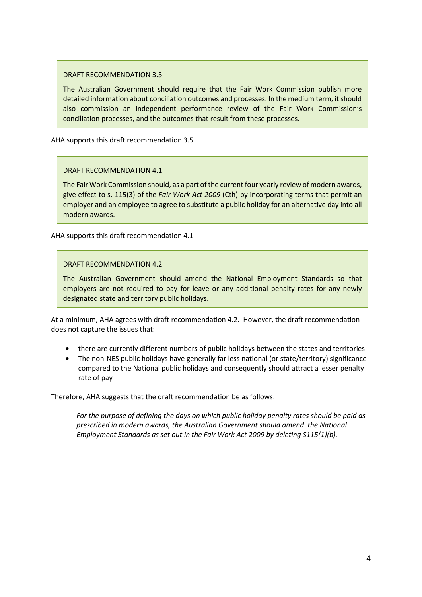## DRAFT RECOMMENDATION 3.5

The Australian Government should require that the Fair Work Commission publish more detailed information about conciliation outcomes and processes. In the medium term, it should also commission an independent performance review of the Fair Work Commission's conciliation processes, and the outcomes that result from these processes.

AHA supports this draft recommendation 3.5

## DRAFT RECOMMENDATION 4.1

The Fair Work Commission should, as a part of the current four yearly review of modern awards, give effect to s. 115(3) of the *Fair Work Act 2009* (Cth) by incorporating terms that permit an employer and an employee to agree to substitute a public holiday for an alternative day into all modern awards.

AHA supports this draft recommendation 4.1

### DRAFT RECOMMENDATION 4.2

The Australian Government should amend the National Employment Standards so that employers are not required to pay for leave or any additional penalty rates for any newly designated state and territory public holidays.

At a minimum, AHA agrees with draft recommendation 4.2. However, the draft recommendation does not capture the issues that:

- there are currently different numbers of public holidays between the states and territories
- The non-NES public holidays have generally far less national (or state/territory) significance compared to the National public holidays and consequently should attract a lesser penalty rate of pay

Therefore, AHA suggests that the draft recommendation be as follows:

*For the purpose of defining the days on which public holiday penalty rates should be paid as prescribed in modern awards, the Australian Government should amend the National Employment Standards as set out in the Fair Work Act 2009 by deleting S115(1)(b).*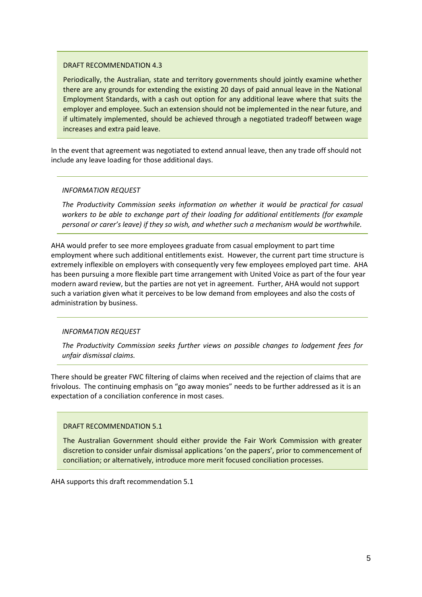#### DRAFT RECOMMENDATION 4.3

Periodically, the Australian, state and territory governments should jointly examine whether there are any grounds for extending the existing 20 days of paid annual leave in the National Employment Standards, with a cash out option for any additional leave where that suits the employer and employee. Such an extension should not be implemented in the near future, and if ultimately implemented, should be achieved through a negotiated tradeoff between wage increases and extra paid leave.

In the event that agreement was negotiated to extend annual leave, then any trade off should not include any leave loading for those additional days.

## *INFORMATION REQUEST*

*The Productivity Commission seeks information on whether it would be practical for casual workers to be able to exchange part of their loading for additional entitlements (for example personal or carer's leave) if they so wish, and whether such a mechanism would be worthwhile.*

AHA would prefer to see more employees graduate from casual employment to part time employment where such additional entitlements exist. However, the current part time structure is extremely inflexible on employers with consequently very few employees employed part time. AHA has been pursuing a more flexible part time arrangement with United Voice as part of the four year modern award review, but the parties are not yet in agreement. Further, AHA would not support such a variation given what it perceives to be low demand from employees and also the costs of administration by business.

## *INFORMATION REQUEST*

*The Productivity Commission seeks further views on possible changes to lodgement fees for unfair dismissal claims.* 

There should be greater FWC filtering of claims when received and the rejection of claims that are frivolous. The continuing emphasis on "go away monies" needs to be further addressed as it is an expectation of a conciliation conference in most cases.

## DRAFT RECOMMENDATION 5.1

The Australian Government should either provide the Fair Work Commission with greater discretion to consider unfair dismissal applications 'on the papers', prior to commencement of conciliation; or alternatively, introduce more merit focused conciliation processes.

AHA supports this draft recommendation 5.1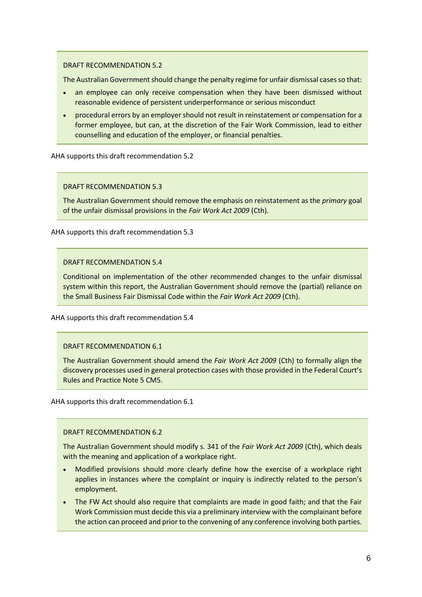### DRAFT RECOMMENDATION 5.2

The Australian Government should change the penalty regime for unfair dismissal cases so that:

- an employee can only receive compensation when they have been dismissed without reasonable evidence of persistent underperformance or serious misconduct
- procedural errors by an employer should not result in reinstatement or compensation for a former employee, but can, at the discretion of the Fair Work Commission, lead to either counselling and education of the employer, or financial penalties.

AHA supports this draft recommendation 5.2

DRAFT RECOMMENDATION 5.3

The Australian Government should remove the emphasis on reinstatement as the *primary* goal of the unfair dismissal provisions in the *Fair Work Act 2009* (Cth)*.*

AHA supports this draft recommendation 5.3

### DRAFT RECOMMENDATION 5.4

Conditional on implementation of the other recommended changes to the unfair dismissal system within this report, the Australian Government should remove the (partial) reliance on the Small Business Fair Dismissal Code within the *Fair Work Act 2009* (Cth).

AHA supports this draft recommendation 5.4

## DRAFT RECOMMENDATION 6.1

The Australian Government should amend the *Fair Work Act 2009* (Cth) to formally align the discovery processes used in general protection cases with those provided in the Federal Court's Rules and Practice Note 5 CM5.

AHA supports this draft recommendation 6.1

## DRAFT RECOMMENDATION 6.2

The Australian Government should modify s. 341 of the *Fair Work Act 2009* (Cth), which deals with the meaning and application of a workplace right.

- Modified provisions should more clearly define how the exercise of a workplace right applies in instances where the complaint or inquiry is indirectly related to the person's employment.
- The FW Act should also require that complaints are made in good faith; and that the Fair Work Commission must decide this via a preliminary interview with the complainant before the action can proceed and prior to the convening of any conference involving both parties.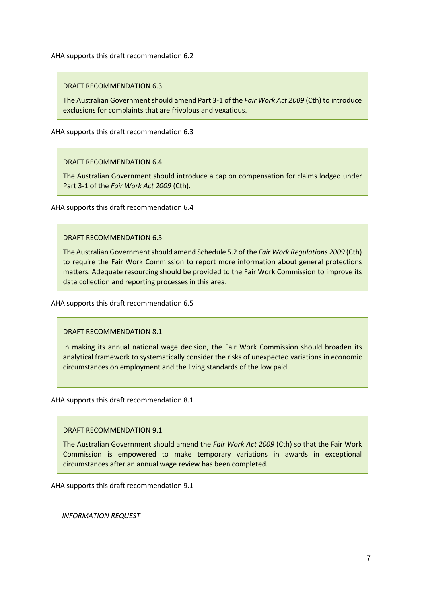AHA supports this draft recommendation 6.2

DRAFT RECOMMENDATION 6.3

The Australian Government should amend Part 3-1 of the *Fair Work Act 2009* (Cth) to introduce exclusions for complaints that are frivolous and vexatious.

AHA supports this draft recommendation 6.3

### DRAFT RECOMMENDATION 6.4

The Australian Government should introduce a cap on compensation for claims lodged under Part 3-1 of the *Fair Work Act 2009* (Cth).

AHA supports this draft recommendation 6.4

#### DRAFT RECOMMENDATION 6.5

The Australian Government should amend Schedule 5.2 of the *Fair Work Regulations 2009* (Cth) to require the Fair Work Commission to report more information about general protections matters. Adequate resourcing should be provided to the Fair Work Commission to improve its data collection and reporting processes in this area.

AHA supports this draft recommendation 6.5

DRAFT RECOMMENDATION 8.1

In making its annual national wage decision, the Fair Work Commission should broaden its analytical framework to systematically consider the risks of unexpected variations in economic circumstances on employment and the living standards of the low paid.

AHA supports this draft recommendation 8.1

DRAFT RECOMMENDATION 9.1

The Australian Government should amend the *Fair Work Act 2009* (Cth) so that the Fair Work Commission is empowered to make temporary variations in awards in exceptional circumstances after an annual wage review has been completed.

AHA supports this draft recommendation 9.1

*INFORMATION REQUEST*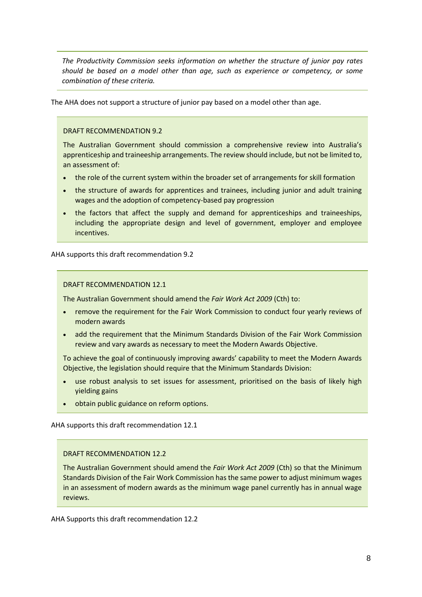*The Productivity Commission seeks information on whether the structure of junior pay rates should be based on a model other than age, such as experience or competency, or some combination of these criteria.*

The AHA does not support a structure of junior pay based on a model other than age.

#### DRAFT RECOMMENDATION 9.2

The Australian Government should commission a comprehensive review into Australia's apprenticeship and traineeship arrangements. The review should include, but not be limited to, an assessment of:

- the role of the current system within the broader set of arrangements for skill formation
- the structure of awards for apprentices and trainees, including junior and adult training wages and the adoption of competency-based pay progression
- the factors that affect the supply and demand for apprenticeships and traineeships, including the appropriate design and level of government, employer and employee incentives.

AHA supports this draft recommendation 9.2

#### DRAFT RECOMMENDATION 12.1

The Australian Government should amend the *Fair Work Act 2009* (Cth) to:

- remove the requirement for the Fair Work Commission to conduct four yearly reviews of modern awards
- add the requirement that the Minimum Standards Division of the Fair Work Commission review and vary awards as necessary to meet the Modern Awards Objective.

To achieve the goal of continuously improving awards' capability to meet the Modern Awards Objective, the legislation should require that the Minimum Standards Division:

- use robust analysis to set issues for assessment, prioritised on the basis of likely high yielding gains
- obtain public guidance on reform options.

AHA supports this draft recommendation 12.1

#### DRAFT RECOMMENDATION 12.2

The Australian Government should amend the *Fair Work Act 2009* (Cth) so that the Minimum Standards Division of the Fair Work Commission has the same power to adjust minimum wages in an assessment of modern awards as the minimum wage panel currently has in annual wage reviews.

AHA Supports this draft recommendation 12.2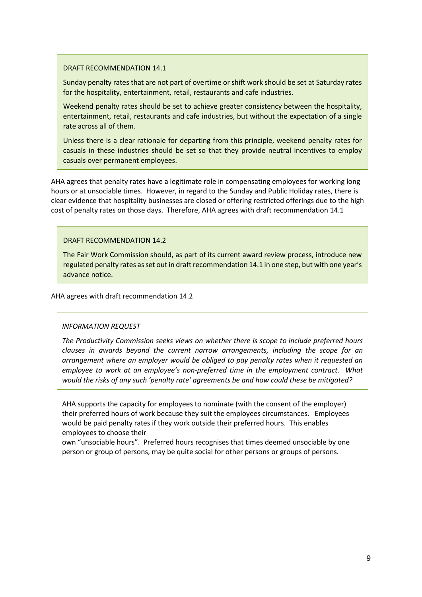### DRAFT RECOMMENDATION 14.1

Sunday penalty rates that are not part of overtime or shift work should be set at Saturday rates for the hospitality, entertainment, retail, restaurants and cafe industries.

Weekend penalty rates should be set to achieve greater consistency between the hospitality, entertainment, retail, restaurants and cafe industries, but without the expectation of a single rate across all of them.

Unless there is a clear rationale for departing from this principle, weekend penalty rates for casuals in these industries should be set so that they provide neutral incentives to employ casuals over permanent employees.

AHA agrees that penalty rates have a legitimate role in compensating employees for working long hours or at unsociable times. However, in regard to the Sunday and Public Holiday rates, there is clear evidence that hospitality businesses are closed or offering restricted offerings due to the high cost of penalty rates on those days. Therefore, AHA agrees with draft recommendation 14.1

## DRAFT RECOMMENDATION 14.2

The Fair Work Commission should, as part of its current award review process, introduce new regulated penalty rates as set out in draft recommendation 14.1 in one step, but with one year's advance notice.

#### AHA agrees with draft recommendation 14.2

#### *INFORMATION REQUEST*

*The Productivity Commission seeks views on whether there is scope to include preferred hours clauses in awards beyond the current narrow arrangements, including the scope for an arrangement where an employer would be obliged to pay penalty rates when it requested an employee to work at an employee's non-preferred time in the employment contract. What would the risks of any such 'penalty rate' agreements be and how could these be mitigated?*

AHA supports the capacity for employees to nominate (with the consent of the employer) their preferred hours of work because they suit the employees circumstances. Employees would be paid penalty rates if they work outside their preferred hours. This enables employees to choose their

own "unsociable hours". Preferred hours recognises that times deemed unsociable by one person or group of persons, may be quite social for other persons or groups of persons.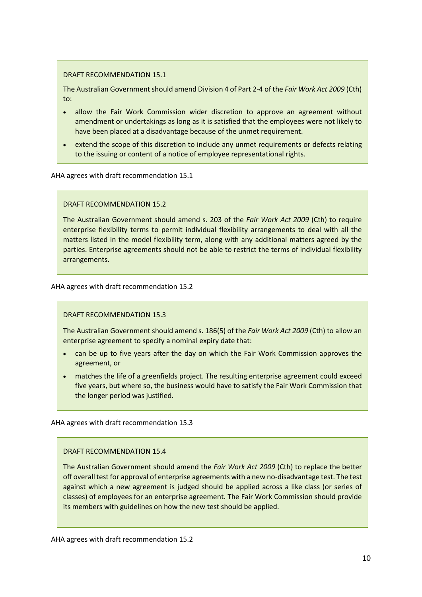### DRAFT RECOMMENDATION 15.1

The Australian Government should amend Division 4 of Part 2-4 of the *Fair Work Act 2009* (Cth) to:

- allow the Fair Work Commission wider discretion to approve an agreement without amendment or undertakings as long as it is satisfied that the employees were not likely to have been placed at a disadvantage because of the unmet requirement.
- extend the scope of this discretion to include any unmet requirements or defects relating to the issuing or content of a notice of employee representational rights.

AHA agrees with draft recommendation 15.1

### DRAFT RECOMMENDATION 15.2

The Australian Government should amend s. 203 of the *Fair Work Act 2009* (Cth) to require enterprise flexibility terms to permit individual flexibility arrangements to deal with all the matters listed in the model flexibility term, along with any additional matters agreed by the parties. Enterprise agreements should not be able to restrict the terms of individual flexibility arrangements.

AHA agrees with draft recommendation 15.2

DRAFT RECOMMENDATION 15.3

The Australian Government should amend s. 186(5) of the *Fair Work Act 2009* (Cth) to allow an enterprise agreement to specify a nominal expiry date that:

- can be up to five years after the day on which the Fair Work Commission approves the agreement, or
- matches the life of a greenfields project. The resulting enterprise agreement could exceed five years, but where so, the business would have to satisfy the Fair Work Commission that the longer period was justified.

AHA agrees with draft recommendation 15.3

## DRAFT RECOMMENDATION 15.4

The Australian Government should amend the *Fair Work Act 2009* (Cth) to replace the better off overall test for approval of enterprise agreements with a new no-disadvantage test. The test against which a new agreement is judged should be applied across a like class (or series of classes) of employees for an enterprise agreement. The Fair Work Commission should provide its members with guidelines on how the new test should be applied.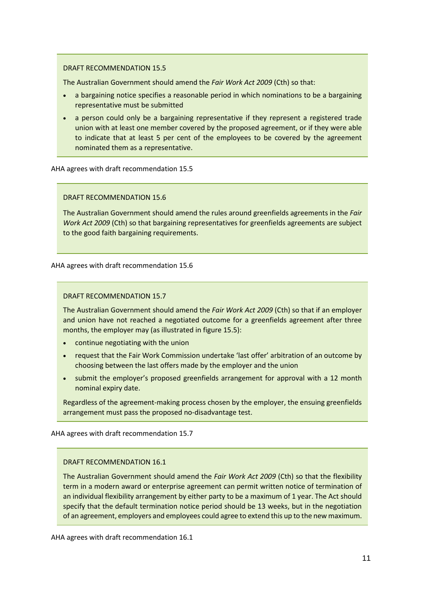### DRAFT RECOMMENDATION 15.5

The Australian Government should amend the *Fair Work Act 2009* (Cth) so that:

- a bargaining notice specifies a reasonable period in which nominations to be a bargaining representative must be submitted
- a person could only be a bargaining representative if they represent a registered trade union with at least one member covered by the proposed agreement, or if they were able to indicate that at least 5 per cent of the employees to be covered by the agreement nominated them as a representative.

AHA agrees with draft recommendation 15.5

#### DRAFT RECOMMENDATION 15.6

The Australian Government should amend the rules around greenfields agreements in the *Fair Work Act 2009* (Cth) so that bargaining representatives for greenfields agreements are subject to the good faith bargaining requirements.

AHA agrees with draft recommendation 15.6

### DRAFT RECOMMENDATION 15.7

The Australian Government should amend the *Fair Work Act 2009* (Cth) so that if an employer and union have not reached a negotiated outcome for a greenfields agreement after three months, the employer may (as illustrated in figure 15.5):

- continue negotiating with the union
- request that the Fair Work Commission undertake 'last offer' arbitration of an outcome by choosing between the last offers made by the employer and the union
- submit the employer's proposed greenfields arrangement for approval with a 12 month nominal expiry date.

Regardless of the agreement-making process chosen by the employer, the ensuing greenfields arrangement must pass the proposed no-disadvantage test.

AHA agrees with draft recommendation 15.7

## DRAFT RECOMMENDATION 16.1

The Australian Government should amend the *Fair Work Act 2009* (Cth) so that the flexibility term in a modern award or enterprise agreement can permit written notice of termination of an individual flexibility arrangement by either party to be a maximum of 1 year. The Act should specify that the default termination notice period should be 13 weeks, but in the negotiation of an agreement, employers and employees could agree to extend this up to the new maximum.

AHA agrees with draft recommendation 16.1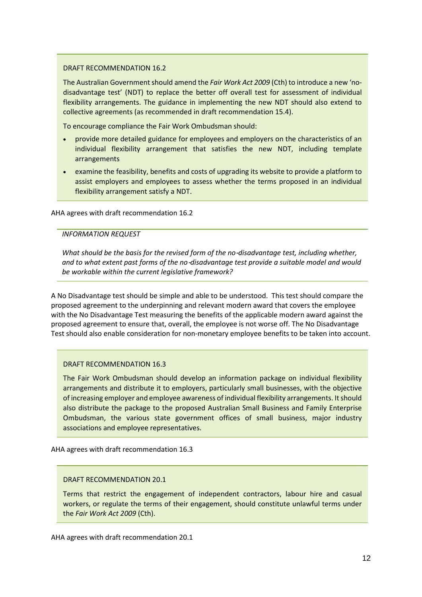### DRAFT RECOMMENDATION 16.2

The Australian Government should amend the *Fair Work Act 2009* (Cth) to introduce a new 'nodisadvantage test' (NDT) to replace the better off overall test for assessment of individual flexibility arrangements. The guidance in implementing the new NDT should also extend to collective agreements (as recommended in draft recommendation 15.4).

To encourage compliance the Fair Work Ombudsman should:

- provide more detailed guidance for employees and employers on the characteristics of an individual flexibility arrangement that satisfies the new NDT, including template arrangements
- examine the feasibility, benefits and costs of upgrading its website to provide a platform to assist employers and employees to assess whether the terms proposed in an individual flexibility arrangement satisfy a NDT.

AHA agrees with draft recommendation 16.2

### *INFORMATION REQUEST*

*What should be the basis for the revised form of the no*-*disadvantage test, including whether, and to what extent past forms of the no*-*disadvantage test provide a suitable model and would be workable within the current legislative framework?*

A No Disadvantage test should be simple and able to be understood. This test should compare the proposed agreement to the underpinning and relevant modern award that covers the employee with the No Disadvantage Test measuring the benefits of the applicable modern award against the proposed agreement to ensure that, overall, the employee is not worse off. The No Disadvantage Test should also enable consideration for non-monetary employee benefits to be taken into account.

#### DRAFT RECOMMENDATION 16.3

The Fair Work Ombudsman should develop an information package on individual flexibility arrangements and distribute it to employers, particularly small businesses, with the objective of increasing employer and employee awareness of individual flexibility arrangements. It should also distribute the package to the proposed Australian Small Business and Family Enterprise Ombudsman, the various state government offices of small business, major industry associations and employee representatives.

AHA agrees with draft recommendation 16.3

## DRAFT RECOMMENDATION 20.1

Terms that restrict the engagement of independent contractors, labour hire and casual workers, or regulate the terms of their engagement, should constitute unlawful terms under the *Fair Work Act 2009* (Cth).

AHA agrees with draft recommendation 20.1